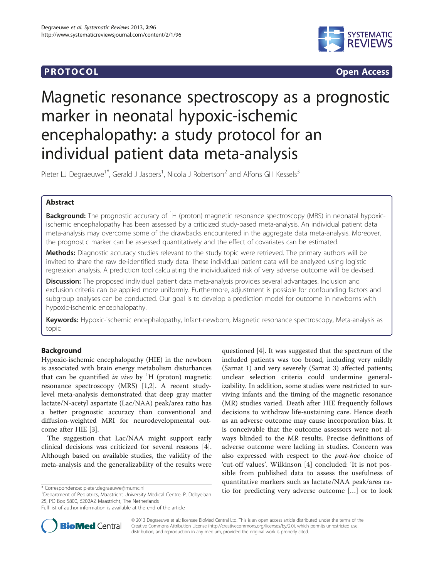## **PROTOCOL CONSUMING ACCESS CONSUMING ACCESS**



# Magnetic resonance spectroscopy as a prognostic marker in neonatal hypoxic-ischemic encephalopathy: a study protocol for an individual patient data meta-analysis

Pieter LJ Degraeuwe<sup>1\*</sup>, Gerald J Jaspers<sup>1</sup>, Nicola J Robertson<sup>2</sup> and Alfons GH Kessels<sup>3</sup>

## Abstract

Background: The prognostic accuracy of <sup>1</sup>H (proton) magnetic resonance spectroscopy (MRS) in neonatal hypoxicischemic encephalopathy has been assessed by a criticized study-based meta-analysis. An individual patient data meta-analysis may overcome some of the drawbacks encountered in the aggregate data meta-analysis. Moreover, the prognostic marker can be assessed quantitatively and the effect of covariates can be estimated.

Methods: Diagnostic accuracy studies relevant to the study topic were retrieved. The primary authors will be invited to share the raw de-identified study data. These individual patient data will be analyzed using logistic regression analysis. A prediction tool calculating the individualized risk of very adverse outcome will be devised.

**Discussion:** The proposed individual patient data meta-analysis provides several advantages. Inclusion and exclusion criteria can be applied more uniformly. Furthermore, adjustment is possible for confounding factors and subgroup analyses can be conducted. Our goal is to develop a prediction model for outcome in newborns with hypoxic-ischemic encephalopathy.

Keywords: Hypoxic-ischemic encephalopathy, Infant-newborn, Magnetic resonance spectroscopy, Meta-analysis as topic

## Background

Hypoxic-ischemic encephalopathy (HIE) in the newborn is associated with brain energy metabolism disturbances that can be quantified in vivo by  ${}^{1}$ H (proton) magnetic resonance spectroscopy (MRS) [[1,2\]](#page-4-0). A recent studylevel meta-analysis demonstrated that deep gray matter lactate/N-acetyl aspartate (Lac/NAA) peak/area ratio has a better prognostic accuracy than conventional and diffusion-weighted MRI for neurodevelopmental outcome after HIE [[3\]](#page-4-0).

The suggestion that Lac/NAA might support early clinical decisions was criticized for several reasons [\[4](#page-4-0)]. Although based on available studies, the validity of the meta-analysis and the generalizability of the results were

<sup>1</sup>Department of Pediatrics, Maastricht University Medical Centre, P. Debyelaan 25, PO Box 5800, 6202AZ Maastricht, The Netherlands

questioned [\[4](#page-4-0)]. It was suggested that the spectrum of the included patients was too broad, including very mildly (Sarnat 1) and very severely (Sarnat 3) affected patients; unclear selection criteria could undermine generalizability. In addition, some studies were restricted to surviving infants and the timing of the magnetic resonance (MR) studies varied. Death after HIE frequently follows decisions to withdraw life-sustaining care. Hence death as an adverse outcome may cause incorporation bias. It is conceivable that the outcome assessors were not always blinded to the MR results. Precise definitions of adverse outcome were lacking in studies. Concern was also expressed with respect to the post-hoc choice of 'cut-off values'. Wilkinson [[4\]](#page-4-0) concluded: 'It is not possible from published data to assess the usefulness of quantitative markers such as lactate/NAA peak/area ra\*Correspondence: [pieter.degraeuwe@mumc.nl](mailto:pieter.degraeuwe@mumc.nl)<br>IDescription of Dadiation Marticle University Marticle Correspondence: Description of the **formation of the correspondence** [...] or to look



© 2013 Degraeuwe et al.; licensee BioMed Central Ltd. This is an open access article distributed under the terms of the Creative Commons Attribution License (<http://creativecommons.org/licenses/by/2.0>), which permits unrestricted use, distribution, and reproduction in any medium, provided the original work is properly cited.

Full list of author information is available at the end of the article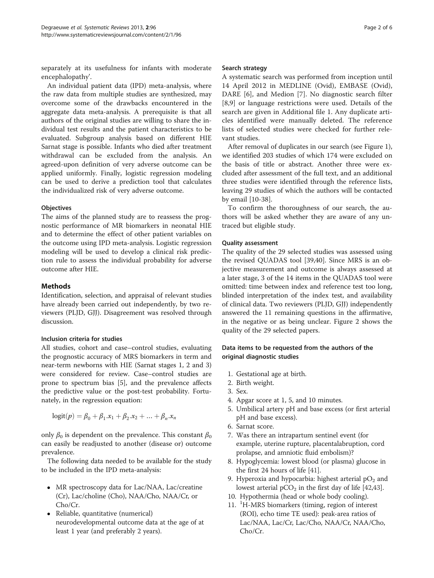separately at its usefulness for infants with moderate encephalopathy'.

An individual patient data (IPD) meta-analysis, where the raw data from multiple studies are synthesized, may overcome some of the drawbacks encountered in the aggregate data meta-analysis. A prerequisite is that all authors of the original studies are willing to share the individual test results and the patient characteristics to be evaluated. Subgroup analysis based on different HIE Sarnat stage is possible. Infants who died after treatment withdrawal can be excluded from the analysis. An agreed-upon definition of very adverse outcome can be applied uniformly. Finally, logistic regression modeling can be used to derive a prediction tool that calculates the individualized risk of very adverse outcome.

## **Objectives**

The aims of the planned study are to reassess the prognostic performance of MR biomarkers in neonatal HIE and to determine the effect of other patient variables on the outcome using IPD meta-analysis. Logistic regression modeling will be used to develop a clinical risk prediction rule to assess the individual probability for adverse outcome after HIE.

#### Methods

Identification, selection, and appraisal of relevant studies have already been carried out independently, by two reviewers (PLJD, GJJ). Disagreement was resolved through discussion.

#### Inclusion criteria for studies

All studies, cohort and case–control studies, evaluating the prognostic accuracy of MRS biomarkers in term and near-term newborns with HIE (Sarnat stages 1, 2 and 3) were considered for review. Case–control studies are prone to spectrum bias [[5](#page-4-0)], and the prevalence affects the predictive value or the post-test probability. Fortunately, in the regression equation:

$$
logit(p) = \beta_0 + \beta_1 \cdot x_1 + \beta_2 \cdot x_2 + \dots + \beta_n \cdot x_n
$$

only  $\beta_0$  is dependent on the prevalence. This constant  $\beta_0$ can easily be readjusted to another (disease or) outcome prevalence.

The following data needed to be available for the study to be included in the IPD meta-analysis:

- MR spectroscopy data for Lac/NAA, Lac/creatine (Cr), Lac/choline (Cho), NAA/Cho, NAA/Cr, or Cho/Cr.
- Reliable, quantitative (numerical) neurodevelopmental outcome data at the age of at least 1 year (and preferably 2 years).

#### Search strategy

A systematic search was performed from inception until 14 April 2012 in MEDLINE (Ovid), EMBASE (Ovid), DARE [[6\]](#page-4-0), and Medion [[7](#page-4-0)]. No diagnostic search filter [[8,9](#page-4-0)] or language restrictions were used. Details of the search are given in Additional file [1](#page-4-0). Any duplicate articles identified were manually deleted. The reference lists of selected studies were checked for further relevant studies.

After removal of duplicates in our search (see Figure [1](#page-2-0)), we identified 203 studies of which 174 were excluded on the basis of title or abstract. Another three were excluded after assessment of the full text, and an additional three studies were identified through the reference lists, leaving 29 studies of which the authors will be contacted by email [\[10](#page-4-0)-[38\]](#page-5-0).

To confirm the thoroughness of our search, the authors will be asked whether they are aware of any untraced but eligible study.

#### Quality assessment

The quality of the 29 selected studies was assessed using the revised QUADAS tool [[39,40\]](#page-5-0). Since MRS is an objective measurement and outcome is always assessed at a later stage, 3 of the 14 items in the QUADAS tool were omitted: time between index and reference test too long, blinded interpretation of the index test, and availability of clinical data. Two reviewers (PLJD, GJJ) independently answered the 11 remaining questions in the affirmative, in the negative or as being unclear. Figure [2](#page-2-0) shows the quality of the 29 selected papers.

## Data items to be requested from the authors of the original diagnostic studies

- 1. Gestational age at birth.
- 2. Birth weight.
- 3. Sex.
- 4. Apgar score at 1, 5, and 10 minutes.
- 5. Umbilical artery pH and base excess (or first arterial pH and base excess).
- 6. Sarnat score.
- 7. Was there an intrapartum sentinel event (for example, uterine rupture, placentalabruption, cord prolapse, and amniotic fluid embolism)?
- 8. Hypoglycemia: lowest blood (or plasma) glucose in the first 24 hours of life [[41\]](#page-5-0).
- 9. Hyperoxia and hypocarbia: highest arterial  $pO<sub>2</sub>$  and lowest arterial  $pCO<sub>2</sub>$  in the first day of life [[42,43\]](#page-5-0).
- 10. Hypothermia (head or whole body cooling).
- 11. <sup>1</sup>H-MRS biomarkers (timing, region of interest (ROI), echo time TE used): peak-area ratios of Lac/NAA, Lac/Cr, Lac/Cho, NAA/Cr, NAA/Cho, Cho/Cr.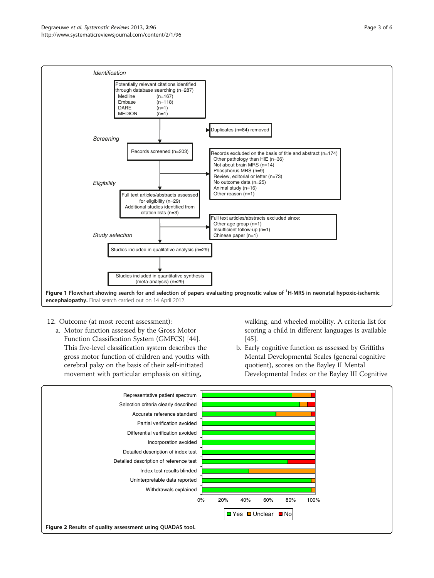<span id="page-2-0"></span>

12. Outcome (at most recent assessment):

a. Motor function assessed by the Gross Motor Function Classification System (GMFCS) [[44](#page-5-0)]. This five-level classification system describes the gross motor function of children and youths with cerebral palsy on the basis of their self-initiated movement with particular emphasis on sitting,

walking, and wheeled mobility. A criteria list for scoring a child in different languages is available [\[45\]](#page-5-0).

b. Early cognitive function as assessed by Griffiths Mental Developmental Scales (general cognitive quotient), scores on the Bayley II Mental Developmental Index or the Bayley III Cognitive

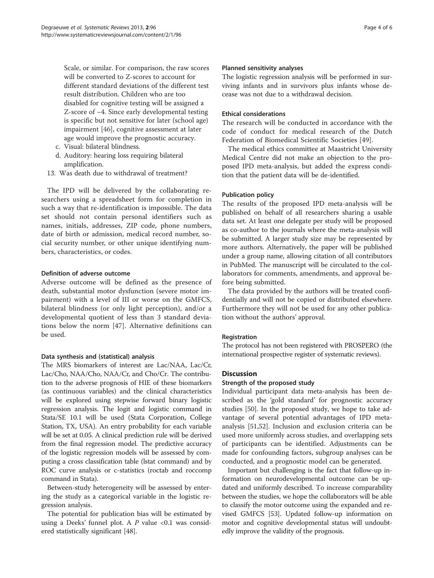Scale, or similar. For comparison, the raw scores will be converted to Z-scores to account for different standard deviations of the different test result distribution. Children who are too disabled for cognitive testing will be assigned a Z-score of −4. Since early developmental testing is specific but not sensitive for later (school age) impairment [[46\]](#page-5-0), cognitive assessment at later age would improve the prognostic accuracy.

- c. Visual: bilateral blindness.
- d. Auditory: hearing loss requiring bilateral amplification.
- 13. Was death due to withdrawal of treatment?

The IPD will be delivered by the collaborating researchers using a spreadsheet form for completion in such a way that re-identification is impossible. The data set should not contain personal identifiers such as names, initials, addresses, ZIP code, phone numbers, date of birth or admission, medical record number, social security number, or other unique identifying numbers, characteristics, or codes.

#### Definition of adverse outcome

Adverse outcome will be defined as the presence of death, substantial motor dysfunction (severe motor impairment) with a level of III or worse on the GMFCS, bilateral blindness (or only light perception), and/or a developmental quotient of less than 3 standard deviations below the norm [[47\]](#page-5-0). Alternative definitions can be used.

## Data synthesis and (statistical) analysis

The MRS biomarkers of interest are Lac/NAA, Lac/Cr, Lac/Cho, NAA/Cho, NAA/Cr, and Cho/Cr. The contribution to the adverse prognosis of HIE of these biomarkers (as continuous variables) and the clinical characteristics will be explored using stepwise forward binary logistic regression analysis. The logit and logistic command in Stata/SE 10.1 will be used (Stata Corporation, College Station, TX, USA). An entry probability for each variable will be set at 0.05. A clinical prediction rule will be derived from the final regression model. The predictive accuracy of the logistic regression models will be assessed by computing a cross classification table (lstat command) and by ROC curve analysis or c-statistics (roctab and roccomp command in Stata).

Between-study heterogeneity will be assessed by entering the study as a categorical variable in the logistic regression analysis.

The potential for publication bias will be estimated by using a Deeks' funnel plot. A  $P$  value <0.1 was considered statistically significant [\[48\]](#page-5-0).

#### Planned sensitivity analyses

The logistic regression analysis will be performed in surviving infants and in survivors plus infants whose decease was not due to a withdrawal decision.

## Ethical considerations

The research will be conducted in accordance with the code of conduct for medical research of the Dutch Federation of Biomedical Scientific Societies [[49\]](#page-5-0).

The medical ethics committee at Maastricht University Medical Centre did not make an objection to the proposed IPD meta-analysis, but added the express condition that the patient data will be de-identified.

## Publication policy

The results of the proposed IPD meta-analysis will be published on behalf of all researchers sharing a usable data set. At least one delegate per study will be proposed as co-author to the journals where the meta-analysis will be submitted. A larger study size may be represented by more authors. Alternatively, the paper will be published under a group name, allowing citation of all contributors in PubMed. The manuscript will be circulated to the collaborators for comments, amendments, and approval before being submitted.

The data provided by the authors will be treated confidentially and will not be copied or distributed elsewhere. Furthermore they will not be used for any other publication without the authors' approval.

## Registration

The protocol has not been registered with PROSPERO (the international prospective register of systematic reviews).

## **Discussion**

#### Strength of the proposed study

Individual participant data meta-analysis has been described as the 'gold standard' for prognostic accuracy studies [[50](#page-5-0)]. In the proposed study, we hope to take advantage of several potential advantages of IPD metaanalysis [\[51,52](#page-5-0)]. Inclusion and exclusion criteria can be used more uniformly across studies, and overlapping sets of participants can be identified. Adjustments can be made for confounding factors, subgroup analyses can be conducted, and a prognostic model can be generated.

Important but challenging is the fact that follow-up information on neurodevelopmental outcome can be updated and uniformly described. To increase comparability between the studies, we hope the collaborators will be able to classify the motor outcome using the expanded and revised GMFCS [\[53](#page-5-0)]. Updated follow-up information on motor and cognitive developmental status will undoubtedly improve the validity of the prognosis.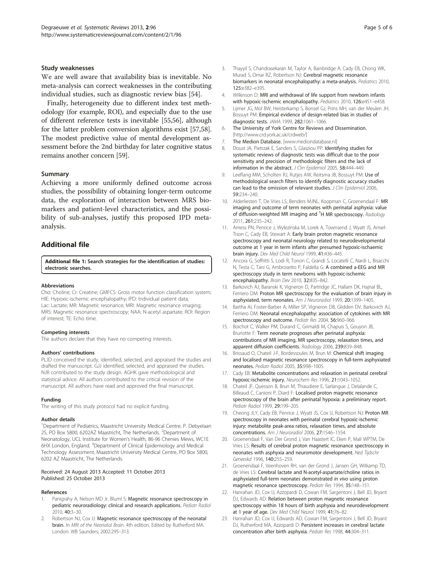#### <span id="page-4-0"></span>Study weaknesses

We are well aware that availability bias is inevitable. No meta-analysis can correct weaknesses in the contributing individual studies, such as diagnostic review bias [\[54\]](#page-5-0).

Finally, heterogeneity due to different index test methodology (for example, ROI), and especially due to the use of different reference tests is inevitable [[55,56](#page-5-0)], although for the latter problem conversion algorithms exist [\[57,58](#page-5-0)]. The modest predictive value of mental development assessment before the 2nd birthday for later cognitive status remains another concern [[59](#page-5-0)].

#### Summary

Achieving a more uniformly defined outcome across studies, the possibility of obtaining longer-term outcome data, the exploration of interaction between MRS biomarkers and patient-level characteristics, and the possibility of sub-analyses, justify this proposed IPD metaanalysis.

## Additional file

[Additional file 1:](http://www.biomedcentral.com/content/supplementary/2046-4053-2-96-S1.pdf) Search strategies for the identification of studies: electronic searches.

#### Abbreviations

Cho: Choline; Cr: Creatine; GMFCS: Gross motor function classification system; HIE: Hypoxic-ischemic encephalopathy; IPD: Individual patient data; Lac: Lactate; MR: Magnetic resonance; MRI: Magnetic resonance imaging; MRS: Magnetic resonance spectroscopy; NAA: N-acetyl aspartate; ROI: Region of interest; TE: Echo time.

#### Competing interests

The authors declare that they have no competing interests.

#### Authors' contributions

PLJD conceived the study, identified, selected, and appraised the studies and drafted the manuscript. GJJ identified, selected, and appraised the studies. NJR contributed to the study design. AGHK gave methodological and statistical advice. All authors contributed to the critical revision of the manuscript. All authors have read and approved the final manuscript.

#### Funding

The writing of this study protocol had no explicit funding.

#### Author details

<sup>1</sup>Department of Pediatrics, Maastricht University Medical Centre, P. Debyelaan 25, PO Box 5800, 6202AZ Maastricht, The Netherlands. <sup>2</sup>Department of Neonatology, UCL Institute for Women's Health, 86-96 Chenies Mews, WC1E 6HX London, England. <sup>3</sup>Department of Clinical Epidemiology and Medical Technology Assessment, Maastricht University Medical Centre, PO Box 5800, 6202 AZ Maastricht, The Netherlands.

#### Received: 24 August 2013 Accepted: 11 October 2013 Published: 25 October 2013

#### References

- Panigrahy A, Nelson MD Jr, Bluml S: Magnetic resonance spectroscopy in pediatric neuroradiology: clinical and research applications. Pediatr Radiol 2010, 40:3–30.
- Robertson NJ, Cox IJ: Magnetic resonance spectroscopy of the neonatal brain. In MRI of the Neonatal Brain. 4th edition. Edited by Rutherford MA. London: WB Saunders; 2002:295–313.
- 3. Thayyil S, Chandrasekaran M, Taylor A, Bainbridge A, Cady EB, Chong WK, Murad S, Omar RZ, Robertson NJ: Cerebral magnetic resonance biomarkers in neonatal encephalopathy: a meta-analysis. Pediatrics 2010, 125:e382–e395.
- 4. Wilkinson D: MRI and withdrawal of life support from newborn infants with hypoxic-ischemic encephalopathy. Pediatrics 2010, 126:e451-e458.
- 5. Lijmer JG, Mol BW, Heisterkamp S, Bonsel GJ, Prins MH, van der Meulen JH, Bossuyt PM: Empirical evidence of design-related bias in studies of diagnostic tests. JAMA 1999, 282:1061–1066.
- 6. The University of York Centre for Reviews and Dissemination. [[http://www.crd.york.ac.uk/crdweb/\]](http://www.crd.york.ac.uk/crdweb/)
- 7. The Medion Database. [[www.mediondatabase.nl](http://www.mediondatabase.nl)]
- 8. Doust JA, Pietrzak E, Sanders S, Glasziou PP: Identifying studies for systematic reviews of diagnostic tests was difficult due to the poor sensitivity and precision of methodologic filters and the lack of information in the abstract. J Clin Epidemiol 2005, 58:444-449.
- 9. Leeflang MM, Scholten RJ, Rutjes AW, Reitsma JB, Bossuyt PM: Use of methodological search filters to identify diagnostic accuracy studies can lead to the omission of relevant studies. J Clin Epidemiol 2006, 59:234–240.
- 10. Alderliesten T, De Vries LS, Benders MJNL, Koopman C, Groenendaal F: MR imaging and outcome of term neonates with perinatal asphyxia: value of diffusion-weighted MR imaging and <sup>1</sup>H MR spectroscopy. Radiology 2011, 261:235–242.
- 11. Amess PN, Penrice J, Wylezinska M, Lorek A, Townsend J, Wyatt JS, Amiel-Tison C, Cady EB, Stewart A: Early brain proton magnetic resonance spectroscopy and neonatal neurology related to neurodevelopmental outcome at 1 year in term infants after presumed hypoxic-ischaemic brain injury. Dev Med Child Neurol 1999, 41:436–445.
- 12. Ancora G, Soffritti S, Lodi R, Tonon C, Grandi S, Locatelli C, Nardi L, Bisacchi N, Testa C, Tani G, Ambrosetto P, Faldella G: A combined a-EEG and MR spectroscopy study in term newborns with hypoxic-ischemic encephalopathy. Brain Dev 2010, 32:835–842.
- 13. Barkovich AJ, Baranski K, Vigneron D, Partridge JC, Hallam DK, Hajnal BL, Ferriero DM: Proton MR spectroscopy for the evaluation of brain injury in asphyxiated, term neonates. Am J Neuroradiol 1999, 20:1399–1405.
- 14. Bartha AI, Foster-Barber A, Miller SP, Vigneron DB, Glidden DV, Barkovich AJ, Ferriero DM: Neonatal encephalopathy: association of cytokines with MR spectroscopy and outcome. Pediatr Res 2004, 56:960–966.
- 15. Boichot C, Walker PM, Durand C, Grimaldi M, Chapuis S, Gouyon JB, Brunotte F: Term neonate prognoses after perinatal asphyxia: contributions of MR imaging, MR spectroscopy, relaxation times, and apparent diffusion coefficients. Radiology 2006, 239:839–848.
- 16. Brissaud O, Chateil J-F, Bordessoules M, Brun M: Chemical shift imaging and localised magnetic resonance spectroscopy in full-term asphyxiated neonates. Pediatr Radiol 2005, 35:998–1005.
- 17. Cady EB: Metabolite concentrations and relaxation in perinatal cerebral hypoxic-ischemic injury. Neurochem Res 1996, 21:1043–1052.
- 18. Chateil JF, Quesson B, Brun M, Thiaudiere E, Sarlangue J, Delalande C, Billeaud C, Canioni P, Diard F: Localised proton magnetic resonance spectroscopy of the brain after perinatal hypoxia: a preliminary report. Pediatr Radiol 1999, 29:199–205.
- 19. Cheong JLY, Cady EB, Penrice J, Wyatt JS, Cox IJ, Robertson NJ: Proton MR spectroscopy in neonates with perinatal cerebral hypoxic-ischemic injury: metabolite peak-area ratios, relaxation times, and absolute concentrations. Am J Neuroradiol 2006, 27:1546–1554.
- 20. Groenendaal F, Van Der Grond J, Van Haastert IC, Eken P, Mali WPTM, De Vries LS: Results of cerebral proton magnetic resonance spectroscopy in neonates with asphyxia and neuromotor development. Ned Tijdschr Geneeskd 1996, 140:255–259.
- 21. Groenendaal F, Veenhoven RH, van der Grond J, Jansen GH, Witkamp TD, de Vries LS: Cerebral lactate and N-acetyl-aspartate/choline ratios in asphyxiated full-term neonates demonstrated in vivo using proton magnetic resonance spectroscopy. Pediatr Res 1994, 35:148-151.
- 22. Hanrahan JD, Cox IJ, Azzopardi D, Cowan FM, Sargentoni J, Bell JD, Bryant DJ, Edwards AD: Relation between proton magnetic resonance spectroscopy within 18 hours of birth asphyxia and neurodevelopment at 1 year of age. Dev Med Child Neurol 1999, 41:76–82.
- 23. Hanrahan JD, Cox IJ, Edwards AD, Cowan FM, Sargentoni J, Bell JD, Bryant DJ, Rutherford MA, Azzopardi D: Persistent increases in cerebral lactate concentration after birth asphyxia. Pediatr Res 1998, 44:304-311.